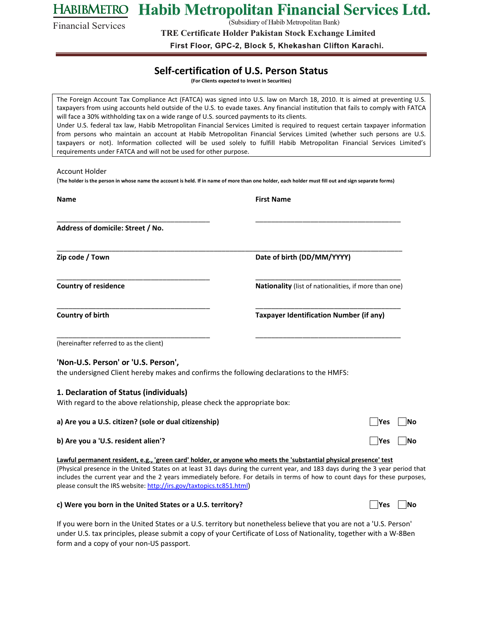**HABIBMETRO** Habib Metropolitan Financial Services Ltd.

(Subsidiary of Habib Metropolitan Bank)

Financial Services

**TRE Certificate Holder Pakistan Stock Exchange Limited**

First Floor, GPC-2, Block 5, Khekashan Clifton Karachi.

## **Self-certification of U.S. Person Status**

**(For Clients expected to Invest in Securities)**

| The Foreign Account Tax Compliance Act (FATCA) was signed into U.S. law on March 18, 2010. It is aimed at preventing U.S.<br>taxpayers from using accounts held outside of the U.S. to evade taxes. Any financial institution that fails to comply with FATCA<br>will face a 30% withholding tax on a wide range of U.S. sourced payments to its clients.<br>Under U.S. federal tax law, Habib Metropolitan Financial Services Limited is required to request certain taxpayer information<br>from persons who maintain an account at Habib Metropolitan Financial Services Limited (whether such persons are U.S.<br>taxpayers or not). Information collected will be used solely to fulfill Habib Metropolitan Financial Services Limited's<br>requirements under FATCA and will not be used for other purpose. |                                                                                                                                                                                                                                                                |
|-------------------------------------------------------------------------------------------------------------------------------------------------------------------------------------------------------------------------------------------------------------------------------------------------------------------------------------------------------------------------------------------------------------------------------------------------------------------------------------------------------------------------------------------------------------------------------------------------------------------------------------------------------------------------------------------------------------------------------------------------------------------------------------------------------------------|----------------------------------------------------------------------------------------------------------------------------------------------------------------------------------------------------------------------------------------------------------------|
| Account Holder                                                                                                                                                                                                                                                                                                                                                                                                                                                                                                                                                                                                                                                                                                                                                                                                    |                                                                                                                                                                                                                                                                |
| (The holder is the person in whose name the account is held. If in name of more than one holder, each holder must fill out and sign separate forms)                                                                                                                                                                                                                                                                                                                                                                                                                                                                                                                                                                                                                                                               |                                                                                                                                                                                                                                                                |
| <b>Name</b>                                                                                                                                                                                                                                                                                                                                                                                                                                                                                                                                                                                                                                                                                                                                                                                                       | <b>First Name</b>                                                                                                                                                                                                                                              |
| Address of domicile: Street / No.                                                                                                                                                                                                                                                                                                                                                                                                                                                                                                                                                                                                                                                                                                                                                                                 |                                                                                                                                                                                                                                                                |
| Zip code / Town                                                                                                                                                                                                                                                                                                                                                                                                                                                                                                                                                                                                                                                                                                                                                                                                   | Date of birth (DD/MM/YYYY)                                                                                                                                                                                                                                     |
| <b>Country of residence</b>                                                                                                                                                                                                                                                                                                                                                                                                                                                                                                                                                                                                                                                                                                                                                                                       | Nationality (list of nationalities, if more than one)                                                                                                                                                                                                          |
| Country of birth                                                                                                                                                                                                                                                                                                                                                                                                                                                                                                                                                                                                                                                                                                                                                                                                  | <b>Taxpayer Identification Number (if any)</b>                                                                                                                                                                                                                 |
| (hereinafter referred to as the client)                                                                                                                                                                                                                                                                                                                                                                                                                                                                                                                                                                                                                                                                                                                                                                           |                                                                                                                                                                                                                                                                |
| 'Non-U.S. Person' or 'U.S. Person',<br>the undersigned Client hereby makes and confirms the following declarations to the HMFS:                                                                                                                                                                                                                                                                                                                                                                                                                                                                                                                                                                                                                                                                                   |                                                                                                                                                                                                                                                                |
| 1. Declaration of Status (individuals)<br>With regard to the above relationship, please check the appropriate box:                                                                                                                                                                                                                                                                                                                                                                                                                                                                                                                                                                                                                                                                                                |                                                                                                                                                                                                                                                                |
| a) Are you a U.S. citizen? (sole or dual citizenship)                                                                                                                                                                                                                                                                                                                                                                                                                                                                                                                                                                                                                                                                                                                                                             | Yes<br><b>INo</b>                                                                                                                                                                                                                                              |
| b) Are you a 'U.S. resident alien'?                                                                                                                                                                                                                                                                                                                                                                                                                                                                                                                                                                                                                                                                                                                                                                               | <b>INo</b><br> Yes                                                                                                                                                                                                                                             |
| Lawful permanent resident, e.g., 'green card' holder, or anyone who meets the 'substantial physical presence' test<br>please consult the IRS website: http://irs.gov/taxtopics.tc851.html)                                                                                                                                                                                                                                                                                                                                                                                                                                                                                                                                                                                                                        | (Physical presence in the United States on at least 31 days during the current year, and 183 days during the 3 year period that<br>includes the current year and the 2 years immediately before. For details in terms of how to count days for these purposes, |
| c) Were you born in the United States or a U.S. territory?                                                                                                                                                                                                                                                                                                                                                                                                                                                                                                                                                                                                                                                                                                                                                        | Yes<br><b>INo</b>                                                                                                                                                                                                                                              |

If you were born in the United States or a U.S. territory but nonetheless believe that you are not a 'U.S. Person' under U.S. tax principles, please submit a copy of your Certificate of Loss of Nationality, together with a W-8Ben form and a copy of your non-US passport.